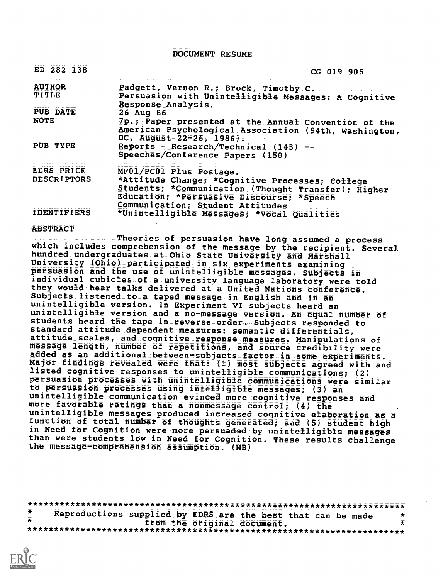DOCUMENT RESUME

| ED 282 138         | CG 019 905                                                                                                                                                                              |  |
|--------------------|-----------------------------------------------------------------------------------------------------------------------------------------------------------------------------------------|--|
| <b>AUTHOR</b>      | Padgett, Vernon R.; Brock, Timothy C.                                                                                                                                                   |  |
| <b>TITLE</b>       | Persuasion with Unintelligible Messages: A Cognitive                                                                                                                                    |  |
| <b>PUB DATE</b>    | Response Analysis.<br>26 Aug 86                                                                                                                                                         |  |
| <b>NOTE</b>        | 7p.; Paper presented at the Annual Convention of the<br>American Psychological Association (94th, Washington,                                                                           |  |
| PUB TYPE           | DC, August $22-26$ , 1986).<br>Reports - Research/Technical $(143)$ ==<br>Speeches/Conference Papers (150)                                                                              |  |
| EDRS PRICE         | MF01/PC01 Plus Postage.                                                                                                                                                                 |  |
| <b>DESCRIPTORS</b> | *Attitude Change; *Cognitive Processes; College<br>Students; *Communication (Thought Transfer); Higher<br>Education; *Persuasive Discourse; *Speech<br>Communication; Student Attitudes |  |
| <b>IDENTIFIERS</b> | *Unintelligible Messages; *Vocal Qualities                                                                                                                                              |  |

#### ABSTRACT

Theories of persuasion have long assumed a process which\_includes\_comprehension of the message by the recipient. Several hundred undergraduates at Ohio State University and Marshall University 10hio)\_participated in six experiments examining persuasion and the use of unintelligible messages. Subjects in individual cubicles of a university language laboratory were told they would hear talks delivered at a United Nations conference. Subjects listened\_to\_a taped message in English and in an unintelligible version. In Experiment VI subjects heard an unintelligible version\_and a no-message version. An equal number of students heard the tape in\_reverse\_order. Subjects responded to standard attitude dependent measures: semantic differentialS, attitude scales, and cognitive response measures. Manipulations of message length, number of repetitions, and\_source credibility wore added as an additional between-subjects factor in some experiments. Major findings revealed were that: (1) most subjects agreed with and<br>listed cognitive responses to unintelligible communications; (2) persuasion processes with unintelligible communications were similar to persuasion processes using intelligible messages; (3) an<br>unintelligible communication evinced more cognitive responses and more favorable ratings than a nonmessage\_control; (4)\_the . unintelligible messages produced increased cognitive elaboration as a function of total number of thoughts generated; aad (5) student high in Need for Cognition were more persuaded by unintelligible messages than were students low in Need for Cognition. These results challenge the message-comprehension assumption. (NB)

\*\*\*\*\*\*\*\*\*\*\*\*\*\*\*\*\*\*\*\*\*\*\*\*\*\*\*\*\*\*\*\*\*\*\*\*\*\*\*\*\*\*\*\*\*\*\*\*\*\*\*\*\*\*\*\*\*\*\*\*\*\*\*\*\*\*\*\*\*\*\* Reproductions supplied by EDRS are the best that can be made  $\frac{x}{x}$ \* from the original document. \* \*\*\*\*\*\*\*\*\*\*\*\*\*\*\*\*\*\*\*\*\*\*\*\*\*\*\*\*\*\*\*\*\*\*\*\*\*\*\*\*\*\*\*\*\*\*\*\*\*\*\*\*\*\*\*\*\*\*\*\*\*\*\*\*\*\*\*\*\*\*\*

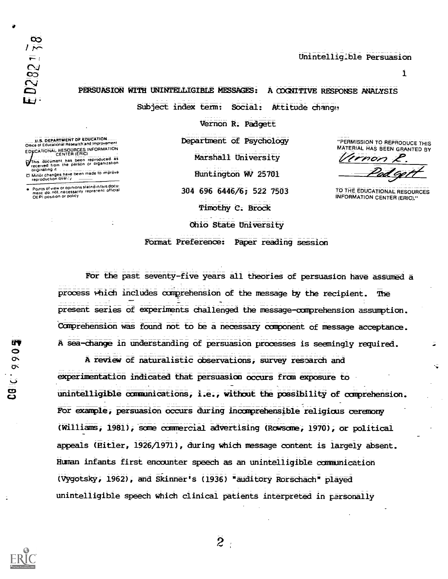| Ł | œ                        |
|---|--------------------------|
|   | $\overline{\phantom{a}}$ |
|   | $\boldsymbol{\sigma}$    |
| O | っ                        |
| ↶ | V                        |
| Q |                          |
| W |                          |

0

## Unintelligible Persuasion

 $\mathbf{1}$ 

PERSUASION WITH UNINRELLIGIBLE MESSAGES: A COGNITIVE RESPONSE ANALYSIS

Vernon R. Padgett

Subject index term: Social: Attitude change

U.S. DEPARTMENT DF EDUCATION Once of Educational Research and Improvement EDWCATIONAL RESOURCES INFORMATION<br>CENTER (ERIC)

r<br>This document has been reproduced as<br>received from the person or organization<br>originating it

D Minor changes have been made to improve<br>reproduction quality

Points of view or opinions stated in this good.<br>ment .do-noL.necessarily\_repretent\_official OEPI position or pohcy

Department of Psychology Marshall University Huntington WV 25701 304 696 6446/6; 522 7503 Timothy C. Brock Ohio State University

"PERMISSION TO REPRODUCE THIS MATERIAL HAS BEEN GRANTED BY

mon

TO THE EDUCATIDNAL RESOURCES INFORMATION CENTER (ERIC)."

Format Preference: Paper reading session

For the past seventy-five years all theories of persuasion have assumed a process which includes comprehension of the message by the recipient. The present series of experiments challenged the message-comprehension assumption. Comprehension was found not to be a necessary component of message acceptance. A sea-change in understanding of persuasion processes is seemingly required.

A review of naturalistic observations, survey research and experimentation indicated that persuasion occurs from exposure to unintelligible ocanunications, i.e., without the pcesibility of carprehension. For example, persuasion occurs during incomprehensible religious ceremony (Williams, 1981), same commercial advertising (Rowsome, 1970), or political appeals (Hitler, 1926/1971), during which message content is largely absent. Human infants first encounter speech as an unintelligible camunication (Wgotsky, 1962), and Skinner's (1936) "auditory Rorschach" played unintelligible speech which clinical patients interpreted in personally



 $\tilde{z}$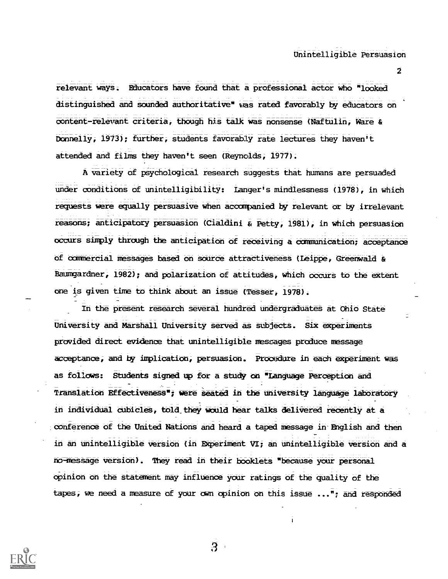relevant ways. Educators have found that a professional actor who "looked distinguished and sounded authoritative" was rated favorably by educators on content-relevant criteria, though his talk was nonsense (Naftulin, Ware & Donnelly, 1973); further, students favorably rate lectures they haven't attended and films they haven't seen (Reynolds, 1977).

A variety of psychological research suggests that humans are persuaded under conditions of unintelligibility: Langer's mindlessness (1978), in which requests were equally persuasive when accompanied by relevant or by irrelevant reasons; anticipatory persuasion (Cialdini & Petty, 1981), in which persuasion occurs simply through the anticipatico of receiving a communication; acceptance of commercial messages based on source attractiveness (Leippe, Greenwald & Baumgardner, 1982); and polarization of attitudes, which occurs to the extent one is given time to think about an issue (TeSser, 1978).

In the present research several hundred undergraduates at Ohio State University and Marshall University served as subjects. Six experiments provided direct evidence that unintelligible messages produce message acceptance, and by implication, persuasion. Procedure in each experiment was as follows: Students signed up for a study on "Language Perception and Translation Effectiveness"; were seated in the univexsity language laboratory in individual cubicles, told\_they would hear talks delivered recently at a conference of the United Nations and heard a taped message in-English and then in an unintelligible version (in EXperiment VI; an unintelligible version and a no-message version). They read in their booklets "because your personal opinion on the statement may influence your ratings of the quality of the tapes, we need a measure of your own opinion on this issue ..."; and responded



 $\overline{3}$ 

2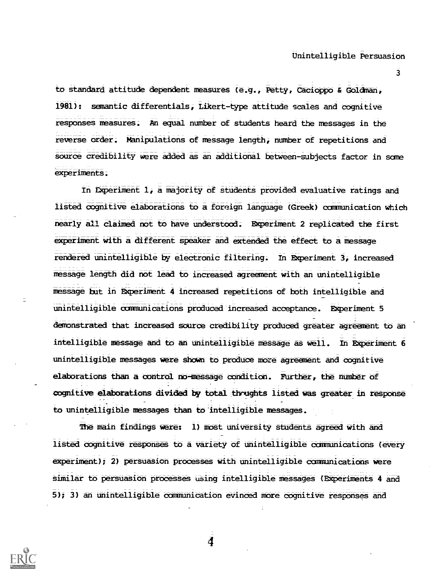3

to standard attitude dependent measures (e.g., Petty, Cacioppo & GOldMan, 1981): semantic differentials, Likert-type attitude scales and cognitive responses measures. An equal number of students heard the messages in the reverse order. Manipulations of message length, number of repetitions and source credibility were added as an additional between-subjects factor in some experiments.

In Experiment 1, a majority of students provided evaluative ratings and listed cognitive elaborations to a foreign language (Greek) communication which nearly all claimed not to have understood. Experiment 2 replicated the first experiment with a different speaker and extended the effect to a message rendered unintelligible by electronic filtering. In Experiment 3, increased message length did not lead to increased agreement with an unintelligible message tut in Experiment 4 increased repetitions of both intelligible and unintelligible communications produced increased acceptance. Experiment 5 demonstrated that increased source credibility produced greater agreement to an intelligible message and to an unintelligible message as well. In Experiment 6 unintelligible messages were shown to produce more agreement and cognitive elaborations than a control no-message condition. FUrther, the number of cognitive elaborations divided by total thrughts listed was greater in response to unintelligible messages than to intelligible messages.

The main findings were: 1) most university students agreed with and listed cognitive responses to a variety of unintelligible communications (every experiment); 2) persuasion processes with unintelligible communications were similar to persuasion processes using intelligible messages (Experiments 4 and 5); 3) an unintelligible communication evinced more cognitive responses and



4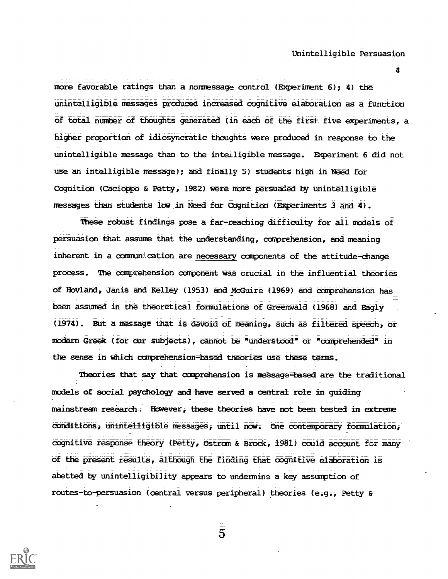4

more favorable ratings than a nonmessage control (Experiment 6); 4) the unintelligible messages produced increased cognitive elaboration as a function of total number of thoughts generated (in each of the first five experiments, a higher proportion of idiosyncratic thoughts were produced in response to the unintelligible message than to the intelligible message. Everiment 6 did not use an intelligible message); and finally 5) students high in Need for Cognition (Cacioppo & Petty, 1982) were more persuaded by unintelligible messages than students low in Need for Cognition (Experiments 3 and 4).

These robust findings pose a far-reaching difficulty for all models of persuasion that assume that the understanding, comprehension, and meaning inherent in a communication are necessary components of the attitude-change process. The comprehension component was crucial in the influential theories of Hovland, Janis and Kelley (1953) and NOGuire (1969) and comprehension has been assumed in the theoretical formulations of Greenwald (1968) and Eagly (1974). But a message that is devoid ct meaning, such as filtered speech, or modern Greek (for our Subjectt), cannot be "understood" cr "comprehended" in the sense in which comprehension-based theories use these terms.

Theories that say that comprehension is message-based are the traditional models et social psydhoIogy and-have served a central role in guiding mainstream research, However, these theories have not been tested in extreme conditions, unintelligible messages, until now; Cne contemporary formulation, cognitive response theory (Petty, Ostrom & Brock, 1981) could account for many of the present results, although the finding that cognitive elaboration is abetted by unintelligibility appears to undermine a key assumption of routes-to-persuasion (central versus peripheral) theories (e.g., Petty &



 $\overline{5}$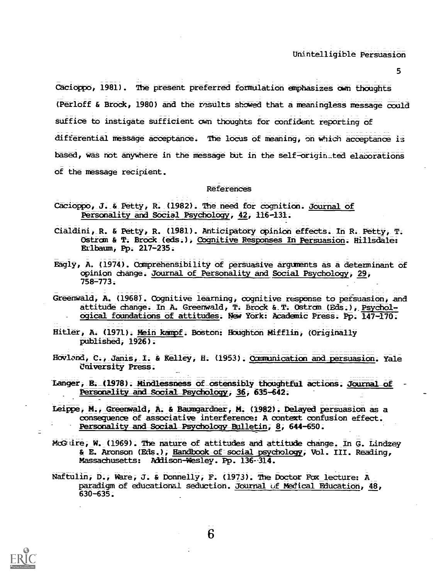5

Cacioppo, 1981). The present preferred formulation emphasizes own thoughts (Perloff & Brock, 1980) and the results showed that a meaningless message could Suffice to instigate sufficient own thoughts for confident reporting of differential message acceptance. The locus of meaning, on w+lich acceptance is bated, was not anywhere in the message but in the self-otigin\_ted elaborations of the message recipient.

### References

- Cacioppo, J. & Petty, R. (1982). The need for cognition. Journal of Personality and Social Psychology, 42, 116-131.
- Cialdini, R. & Petty, R. (1981). Anticipatory opinion effects. In R. Petty, T. Ostrom & T. Brock (eds.), Cognitive Responses In Persuasion. Hillsdale: Erlbaum, Pp. 217=235.
- Eagly, A. (1974). Comprehensibility of persuasive arguments as a determinant of opinion dhange. Journal of Personality and Social Psychology, 29, 758=773.
- Greenwald, A. (1968). Cognitive learning, cognitive response to persuasion, and attitude change. In A. Greenwald, T. Brock & T. Ostrom (Eds.), Psychol-- ogical foundations of attitudes. New York: Academic Press; Pp. 147-170.
- Hitler, A. (1971). Mein kampf. Boston: Houghton Mifflin, (Originally published, 1926);
- Hovland, C., Janis, I. & Kelley, H. (1953). Communication and persuasion. Yale University Press;
- Langer, E.\_(1978). Mindlessness of\_ostensibly thoughtful actions. Journat\_of Personality and Social Psychology, 36, 635-642.
- Leippe, M., Greenwald, A. & Baumgardner, M. (1982). Delayed persuasion as a consequence of associative interference: A context confusion effect. Personality and Social Psychology Bulletin, 8, 644-650.
- McGuire, W. (1969). The nature of attitudes and attitude change. In G. Lindzey & E. Aronson (EAS.), Handbook-of-social psychology, VOl. III. Reading, Massachusetts: Addison-Wesley. Pp. 136-314.
- Naftulin, D., Ware, J. & Donnelly, F. (1973). The Doctor Fox lecture: A paradigm of educational seduction. Journal uf Medical Education, 48, 630-635.



 $\overline{6}$